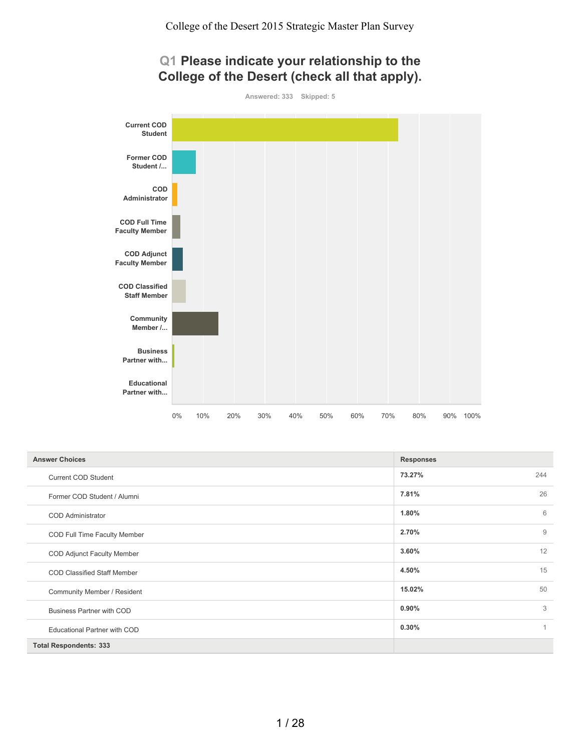# **Q1 Please indicate your relationship to the College of the Desert (check all that apply).**

**Answered: 333 Skipped: 5**



| <b>Answer Choices</b>               | <b>Responses</b>        |
|-------------------------------------|-------------------------|
| <b>Current COD Student</b>          | 73.27%<br>244           |
| Former COD Student / Alumni         | 26<br>7.81%             |
| <b>COD</b> Administrator            | 6<br>1.80%              |
| COD Full Time Faculty Member        | 2.70%<br>$\overline{9}$ |
| COD Adjunct Faculty Member          | 12<br>3.60%             |
| <b>COD Classified Staff Member</b>  | 15<br>4.50%             |
| Community Member / Resident         | 50<br>15.02%            |
| <b>Business Partner with COD</b>    | 3<br>0.90%              |
| <b>Educational Partner with COD</b> | 0.30%<br>1              |
| <b>Total Respondents: 333</b>       |                         |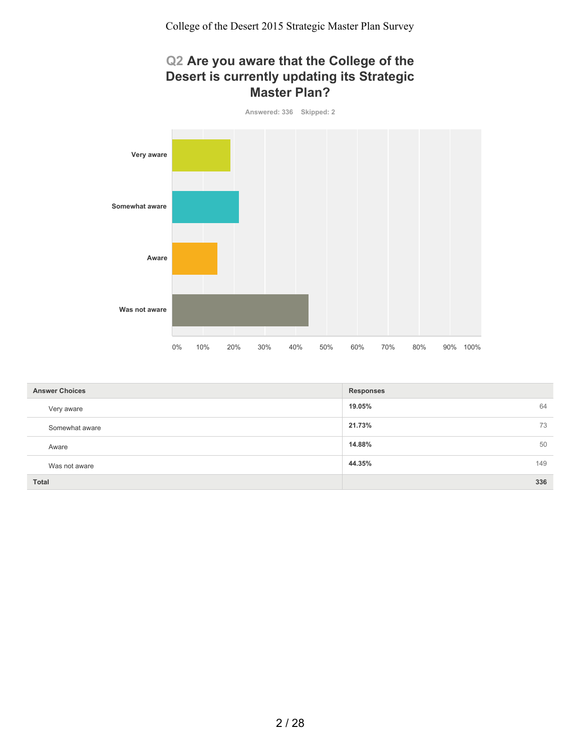#### **Q2 Are you aware that the College of the Desert is currently updating its Strategic Master Plan?**



| <b>Answer Choices</b> | <b>Responses</b> |
|-----------------------|------------------|
| Very aware            | 19.05%<br>64     |
| Somewhat aware        | 73<br>21.73%     |
| Aware                 | 50<br>14.88%     |
| Was not aware         | 149<br>44.35%    |
| <b>Total</b>          | 336              |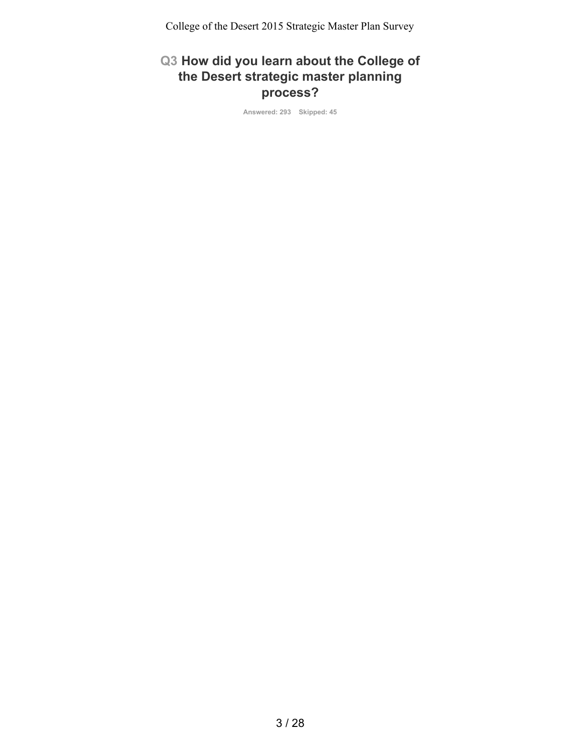# **Q3 How did you learn about the College of the Desert strategic master planning process?**

**Answered: 293 Skipped: 45**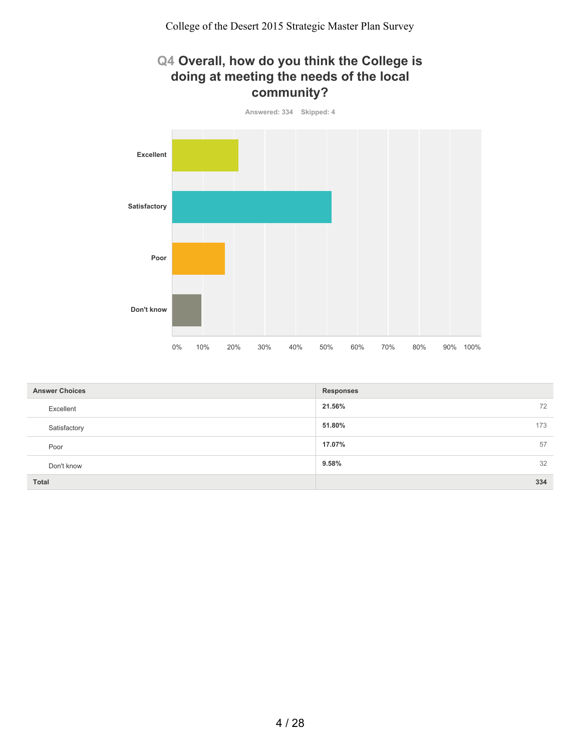#### **Q4 Overall, how do you think the College is doing at meeting the needs of the local community?**



| <b>Answer Choices</b> | <b>Responses</b> |
|-----------------------|------------------|
| Excellent             | 21.56%<br>72     |
| Satisfactory          | 173<br>51.80%    |
| Poor                  | 57<br>17.07%     |
| Don't know            | 32<br>9.58%      |
| Total                 | 334              |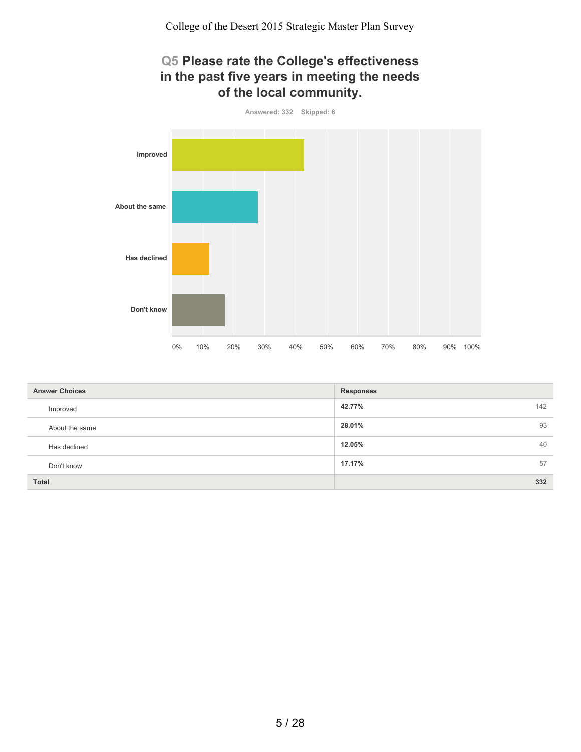## **Q5 Please rate the College's effectiveness in the past five years in meeting the needs of the local community.**



| <b>Answer Choices</b> | <b>Responses</b> |
|-----------------------|------------------|
| Improved              | 42.77%<br>142    |
| About the same        | 93<br>28.01%     |
| Has declined          | 40<br>12.05%     |
| Don't know            | 17.17%<br>57     |
| <b>Total</b>          | 332              |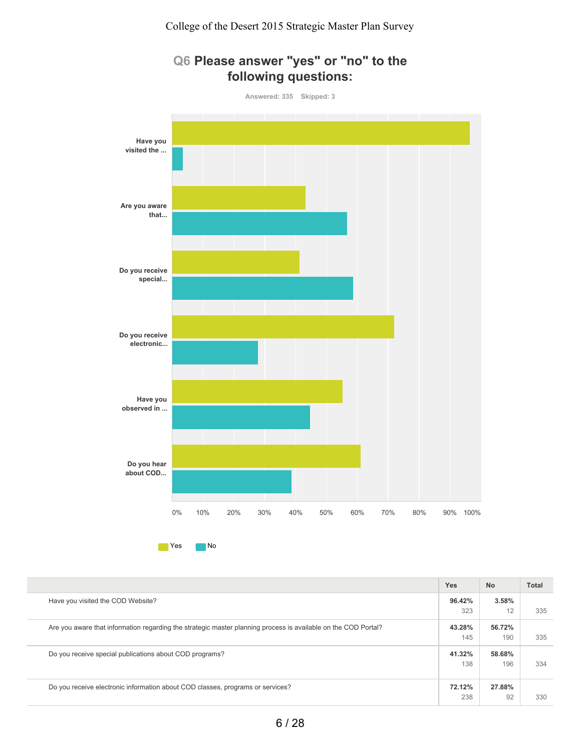

|                                                                                                                | <b>Yes</b> | <b>No</b> | <b>Total</b> |
|----------------------------------------------------------------------------------------------------------------|------------|-----------|--------------|
| Have you visited the COD Website?                                                                              | 96.42%     | 3.58%     |              |
|                                                                                                                | 323        | 12        | 335          |
| Are you aware that information regarding the strategic master planning process is available on the COD Portal? | 43.28%     | 56.72%    |              |
|                                                                                                                | 145        | 190       | 335          |
| Do you receive special publications about COD programs?                                                        | 41.32%     | 58.68%    |              |
|                                                                                                                | 138        | 196       | 334          |
|                                                                                                                |            |           |              |
| Do you receive electronic information about COD classes, programs or services?                                 | 72.12%     | 27.88%    |              |
|                                                                                                                | 238        | 92        | 330          |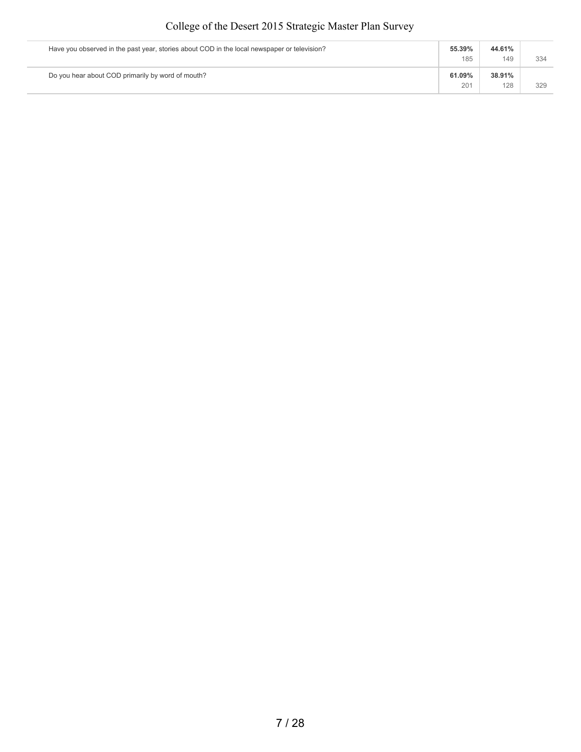| Have you observed in the past year, stories about COD in the local newspaper or television? | 55.39%        | 44.61%        |     |
|---------------------------------------------------------------------------------------------|---------------|---------------|-----|
|                                                                                             | 185           | 149           | 334 |
| Do you hear about COD primarily by word of mouth?                                           | 61.09%<br>201 | 38.91%<br>128 | 329 |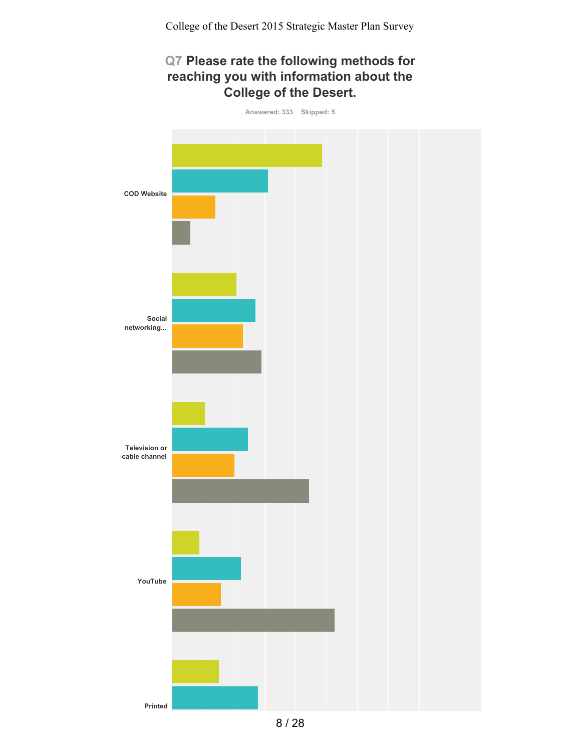# **Q7 Please rate the following methods for reaching you with information about the College of the Desert.**

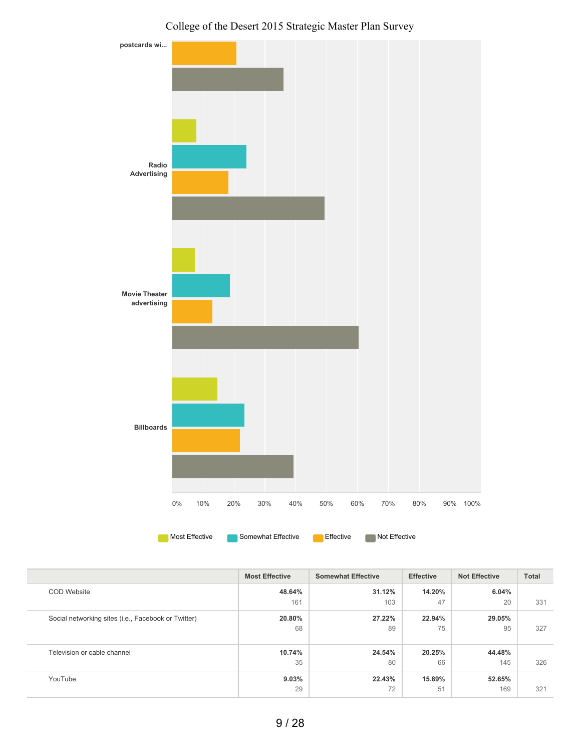



|                                                     | <b>Most Effective</b> | <b>Somewhat Effective</b> | <b>Effective</b> | <b>Not Effective</b> | <b>Total</b> |
|-----------------------------------------------------|-----------------------|---------------------------|------------------|----------------------|--------------|
| <b>COD Website</b>                                  | 48.64%                | 31.12%                    | 14.20%           | 6.04%                |              |
|                                                     | 161                   | 103                       | 47               | 20                   | 331          |
| Social networking sites (i.e., Facebook or Twitter) | 20.80%                | 27.22%                    | 22.94%           | 29.05%               |              |
|                                                     | 68                    | 89                        | 75               | 95                   | 327          |
|                                                     |                       |                           |                  |                      |              |
| Television or cable channel                         | 10.74%                | 24.54%                    | 20.25%           | 44.48%               |              |
|                                                     | 35                    | 80                        | 66               | 145                  | 326          |
| YouTube                                             | 9.03%                 | 22.43%                    | 15.89%           | 52.65%               |              |
|                                                     | 29                    | 72                        | 51               | 169                  | 321          |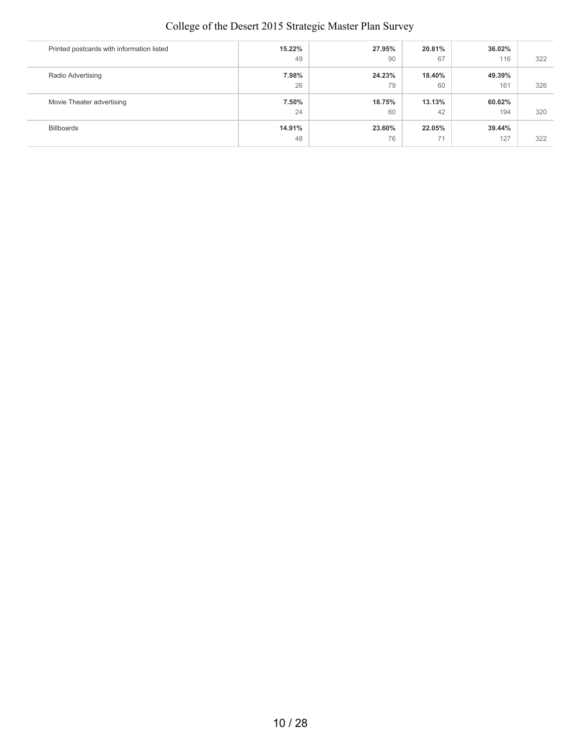| Printed postcards with information listed | 15.22% | 27.95% | 20.81% | 36.02% |     |
|-------------------------------------------|--------|--------|--------|--------|-----|
|                                           | 49     | 90     | 67     | 116    | 322 |
| Radio Advertising                         | 7.98%  | 24.23% | 18.40% | 49.39% |     |
|                                           | 26     | 79     | 60     | 161    | 326 |
| Movie Theater advertising                 | 7.50%  | 18.75% | 13.13% | 60.62% |     |
|                                           | 24     | 60     | 42     | 194    | 320 |
| Billboards                                | 14.91% | 23.60% | 22.05% | 39.44% |     |
|                                           | 48     | 76     | 71     | 127    | 322 |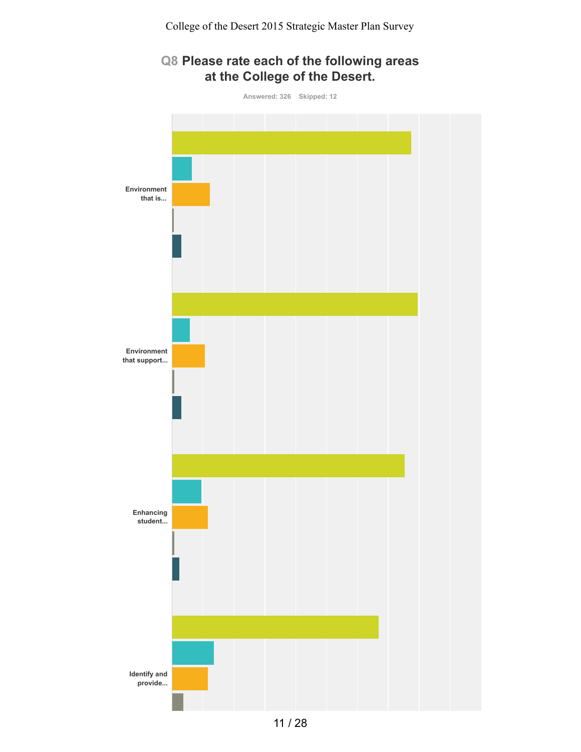# **Q8 Please rate each of the following areas at the College of the Desert.**

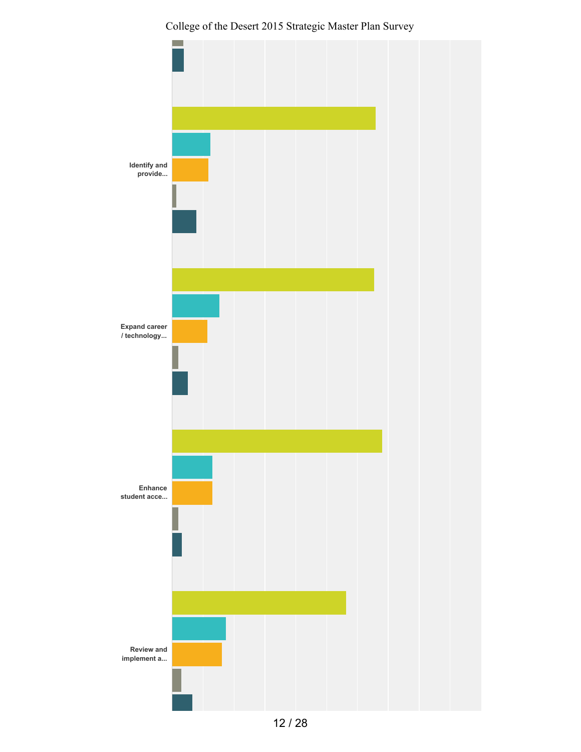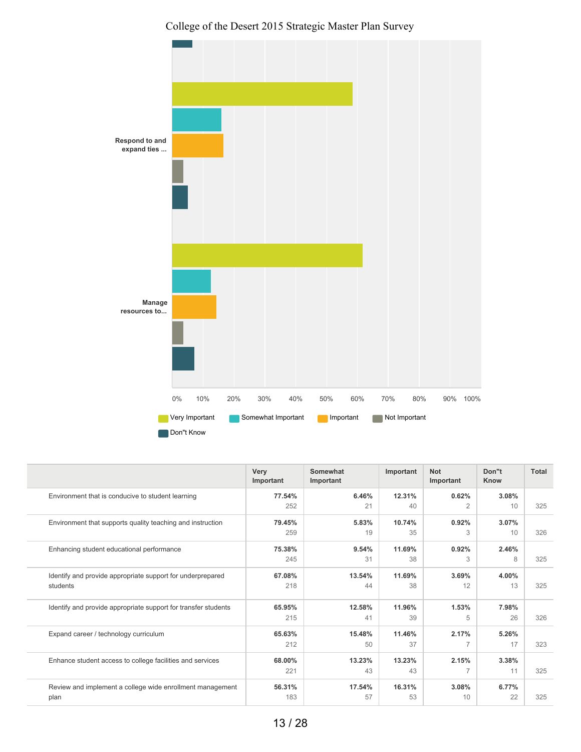College of the Desert 2015 Strategic Master Plan Survey



|                                                                        | Very<br>Important | Somewhat<br>Important | Important    | <b>Not</b><br>Important | Don"t<br>Know | <b>Total</b> |
|------------------------------------------------------------------------|-------------------|-----------------------|--------------|-------------------------|---------------|--------------|
| Environment that is conducive to student learning                      | 77.54%<br>252     | 6.46%<br>21           | 12.31%<br>40 | 0.62%<br>$\overline{2}$ | 3.08%<br>10   | 325          |
| Environment that supports quality teaching and instruction             | 79.45%<br>259     | 5.83%<br>19           | 10.74%<br>35 | 0.92%<br>3              | 3.07%<br>10   | 326          |
| Enhancing student educational performance                              | 75.38%<br>245     | 9.54%<br>31           | 11.69%<br>38 | 0.92%<br>3              | 2.46%<br>8    | 325          |
| Identify and provide appropriate support for underprepared<br>students | 67.08%<br>218     | 13.54%<br>44          | 11.69%<br>38 | 3.69%<br>12             | 4.00%<br>13   | 325          |
| Identify and provide appropriate support for transfer students         | 65.95%<br>215     | 12.58%<br>41          | 11.96%<br>39 | 1.53%<br>5              | 7.98%<br>26   | 326          |
| Expand career / technology curriculum                                  | 65.63%<br>212     | 15.48%<br>50          | 11.46%<br>37 | 2.17%<br>7              | 5.26%<br>17   | 323          |
| Enhance student access to college facilities and services              | 68.00%<br>221     | 13.23%<br>43          | 13.23%<br>43 | 2.15%<br>7              | 3.38%<br>11   | 325          |
| Review and implement a college wide enrollment management<br>plan      | 56.31%<br>183     | 17.54%<br>57          | 16.31%<br>53 | 3.08%<br>10             | 6.77%<br>22   | 325          |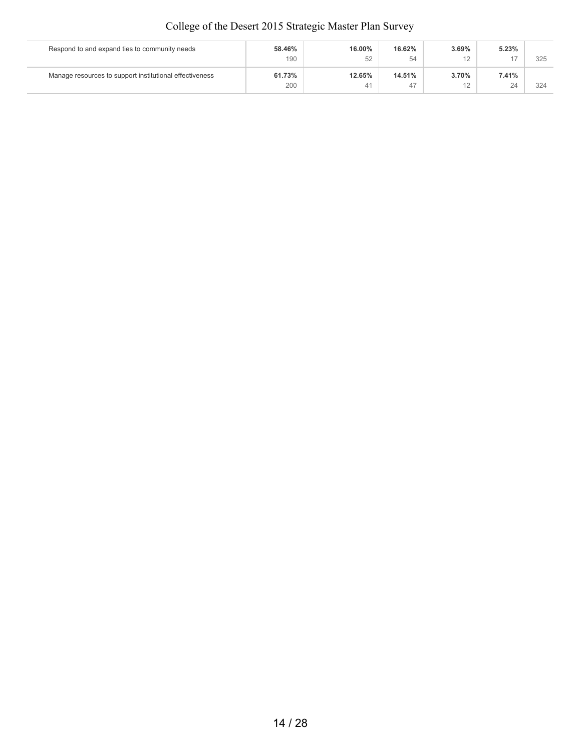| Respond to and expand ties to community needs           | 58.46% | 16.00% | 16.62% | 3.69%                 | 5.23% |     |
|---------------------------------------------------------|--------|--------|--------|-----------------------|-------|-----|
|                                                         | 190    | 52     | 54     | $\Lambda$ $\sim$<br>∼ |       | 325 |
| Manage resources to support institutional effectiveness | 61.73% | 12.65% | 14.51% | 3.70%                 | 7.41% |     |
|                                                         | 200    | 41     | 47     | $\Lambda$             | 24    | 324 |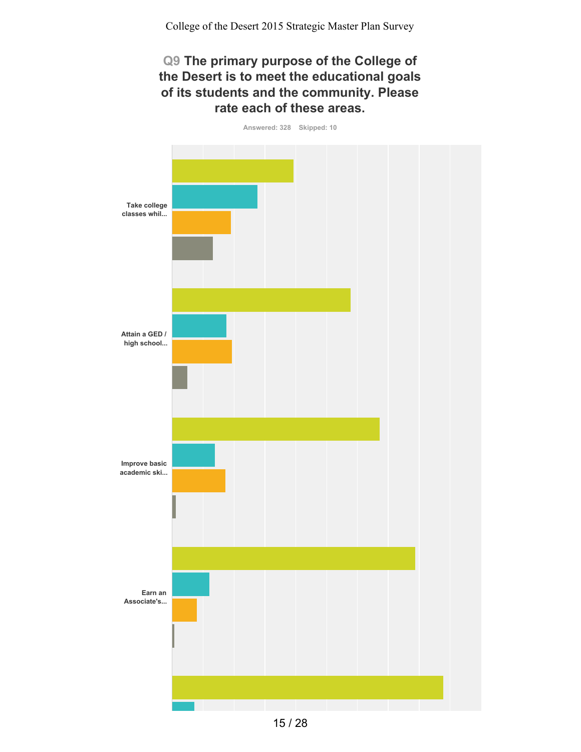#### **Q9 The primary purpose of the College of the Desert is to meet the educational goals of its students and the community. Please rate each of these areas.**

**Answered: 328 Skipped: 10 Take college classes whil... Attain a GED / high school... Improve basic academic ski... Earn an Associate's...**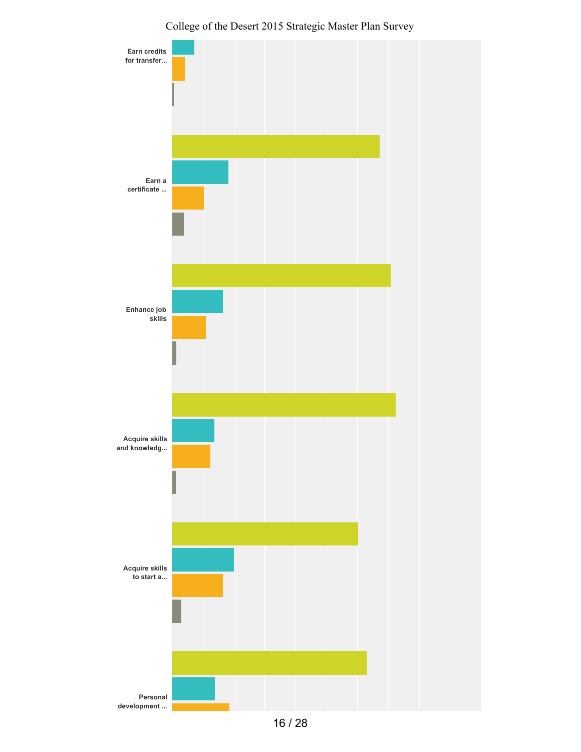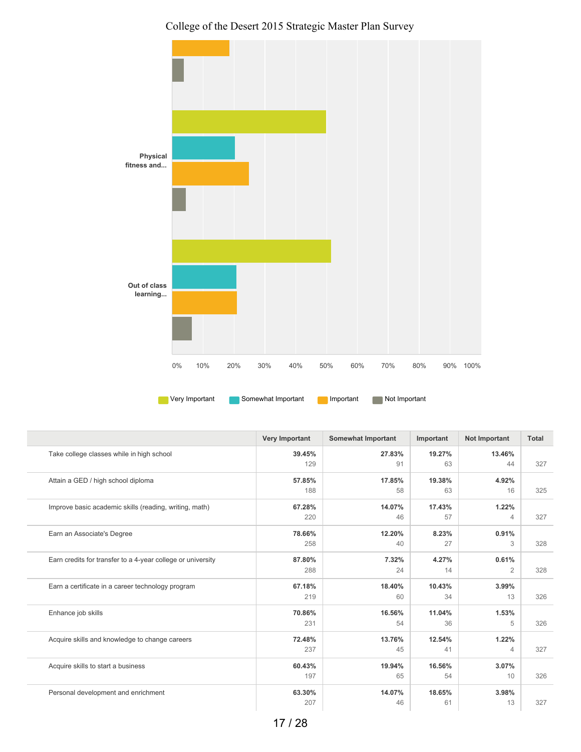

|                                                             | <b>Very Important</b> | <b>Somewhat Important</b> | Important    | <b>Not Important</b>    | <b>Total</b> |
|-------------------------------------------------------------|-----------------------|---------------------------|--------------|-------------------------|--------------|
| Take college classes while in high school                   | 39.45%<br>129         | 27.83%<br>91              | 19.27%<br>63 | 13.46%<br>44            | 327          |
| Attain a GED / high school diploma                          | 57.85%<br>188         | 17.85%<br>58              | 19.38%<br>63 | 4.92%<br>16             | 325          |
| Improve basic academic skills (reading, writing, math)      | 67.28%<br>220         | 14.07%<br>46              | 17.43%<br>57 | 1.22%<br>4              | 327          |
| Earn an Associate's Degree                                  | 78.66%<br>258         | 12.20%<br>40              | 8.23%<br>27  | 0.91%<br>3              | 328          |
| Earn credits for transfer to a 4-year college or university | 87.80%<br>288         | 7.32%<br>24               | 4.27%<br>14  | 0.61%<br>$\overline{2}$ | 328          |
| Earn a certificate in a career technology program           | 67.18%<br>219         | 18.40%<br>60              | 10.43%<br>34 | 3.99%<br>13             | 326          |
| Enhance job skills                                          | 70.86%<br>231         | 16.56%<br>54              | 11.04%<br>36 | 1.53%<br>5              | 326          |
| Acquire skills and knowledge to change careers              | 72.48%<br>237         | 13.76%<br>45              | 12.54%<br>41 | 1.22%<br>4              | 327          |
| Acquire skills to start a business                          | 60.43%<br>197         | 19.94%<br>65              | 16.56%<br>54 | 3.07%<br>10             | 326          |
| Personal development and enrichment                         | 63.30%<br>207         | 14.07%<br>46              | 18.65%<br>61 | 3.98%<br>13             | 327          |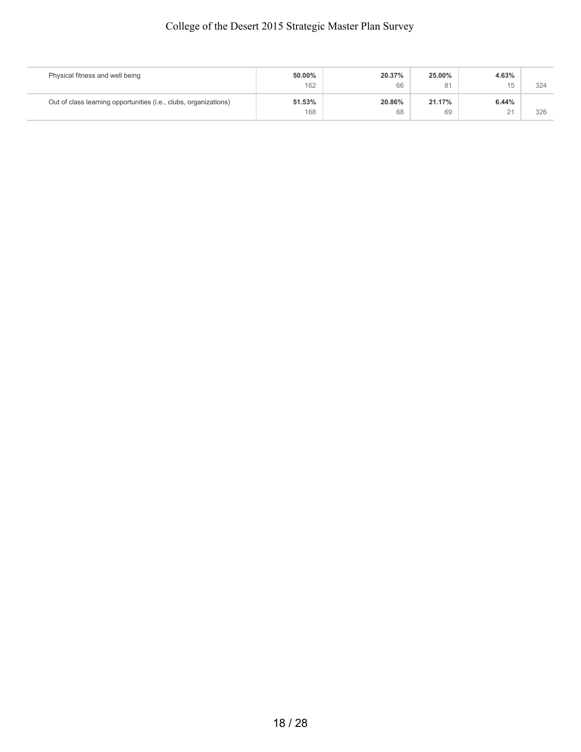| Physical fitness and well being                                  | 50.00% | 20.37% | 25.00% | 4.63% |     |
|------------------------------------------------------------------|--------|--------|--------|-------|-----|
|                                                                  | 162    | 66     | 81     | 15    | 324 |
| Out of class learning opportunities (i.e., clubs, organizations) | 51.53% | 20.86% | 21.17% | 6.44% |     |
|                                                                  | 168    | 68     | 69     | 21    | 326 |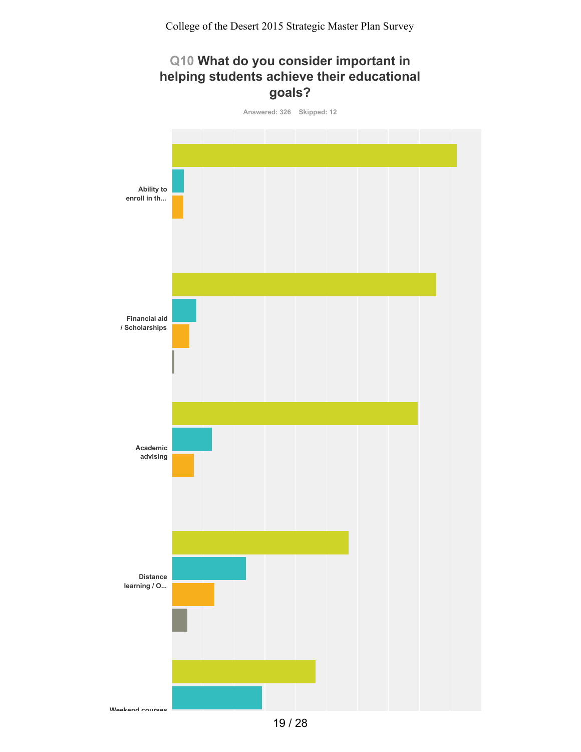## **Q10 What do you consider important in helping students achieve their educational goals?**



<sup>19</sup> / 28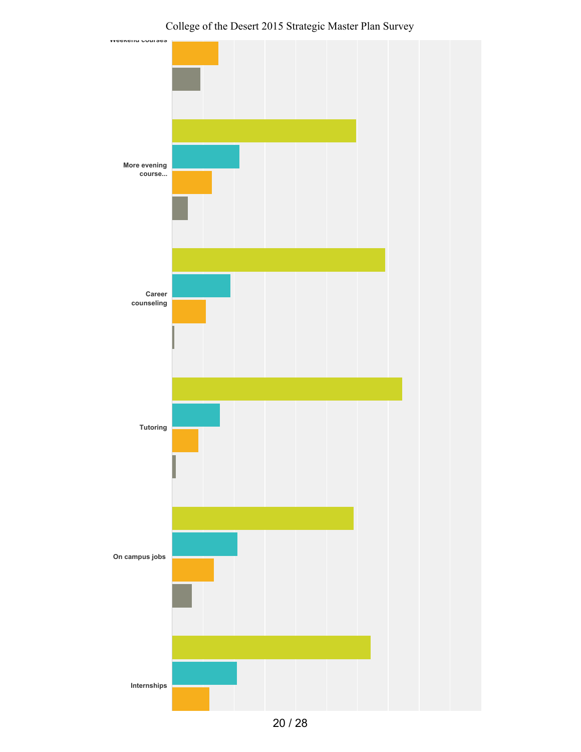

College of the Desert 2015 Strategic Master Plan Survey

20 / 28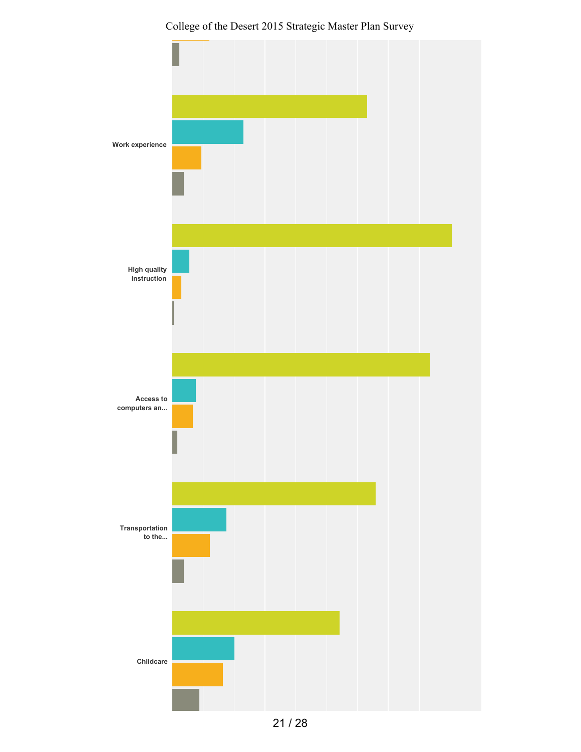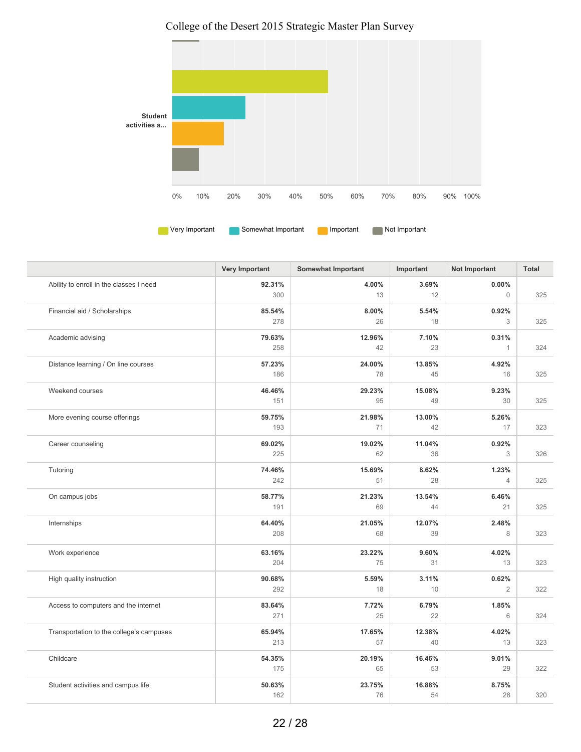College of the Desert 2015 Strategic Master Plan Survey



|                                          | <b>Very Important</b> | <b>Somewhat Important</b> | Important    | <b>Not Important</b>    | Total |
|------------------------------------------|-----------------------|---------------------------|--------------|-------------------------|-------|
| Ability to enroll in the classes I need  | 92.31%<br>300         | 4.00%<br>13               | 3.69%<br>12  | $0.00\%$<br>$\Omega$    | 325   |
| Financial aid / Scholarships             | 85.54%<br>278         | 8.00%<br>26               | 5.54%<br>18  | 0.92%<br>3              | 325   |
| Academic advising                        | 79.63%<br>258         | 12.96%<br>42              | 7.10%<br>23  | 0.31%<br>$\mathbf{1}$   | 324   |
| Distance learning / On line courses      | 57.23%<br>186         | 24.00%<br>78              | 13.85%<br>45 | 4.92%<br>16             | 325   |
| Weekend courses                          | 46.46%<br>151         | 29.23%<br>95              | 15.08%<br>49 | 9.23%<br>30             | 325   |
| More evening course offerings            | 59.75%<br>193         | 21.98%<br>71              | 13.00%<br>42 | 5.26%<br>17             | 323   |
| Career counseling                        | 69.02%<br>225         | 19.02%<br>62              | 11.04%<br>36 | 0.92%<br>3              | 326   |
| Tutoring                                 | 74.46%<br>242         | 15.69%<br>51              | 8.62%<br>28  | 1.23%<br>$\overline{4}$ | 325   |
| On campus jobs                           | 58.77%<br>191         | 21.23%<br>69              | 13.54%<br>44 | 6.46%<br>21             | 325   |
| Internships                              | 64.40%<br>208         | 21.05%<br>68              | 12.07%<br>39 | 2.48%<br>8              | 323   |
| Work experience                          | 63.16%<br>204         | 23.22%<br>75              | 9.60%<br>31  | 4.02%<br>13             | 323   |
| High quality instruction                 | 90.68%<br>292         | 5.59%<br>18               | 3.11%<br>10  | 0.62%<br>$\mathbf{2}$   | 322   |
| Access to computers and the internet     | 83.64%<br>271         | 7.72%<br>25               | 6.79%<br>22  | 1.85%<br>6              | 324   |
| Transportation to the college's campuses | 65.94%<br>213         | 17.65%<br>57              | 12.38%<br>40 | 4.02%<br>13             | 323   |
| Childcare                                | 54.35%<br>175         | 20.19%<br>65              | 16.46%<br>53 | 9.01%<br>29             | 322   |
| Student activities and campus life       | 50.63%<br>162         | 23.75%<br>76              | 16.88%<br>54 | 8.75%<br>28             | 320   |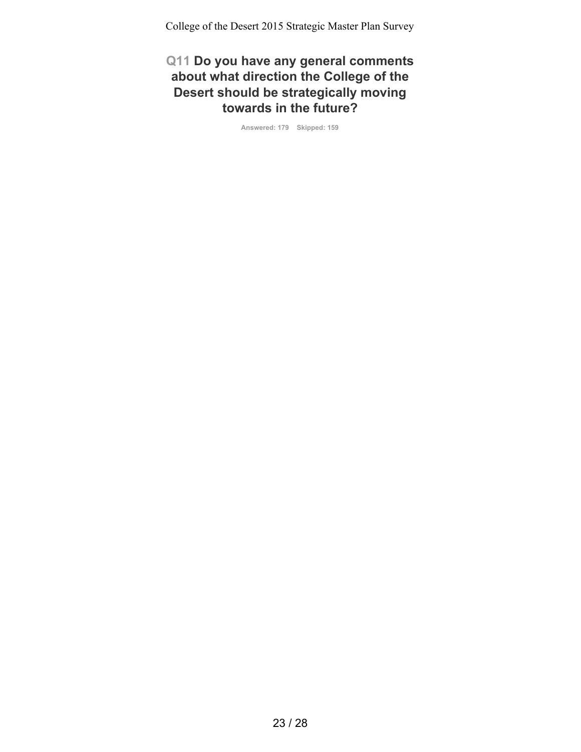#### **Q11 Do you have any general comments about what direction the College of the Desert should be strategically moving towards in the future?**

**Answered: 179 Skipped: 159**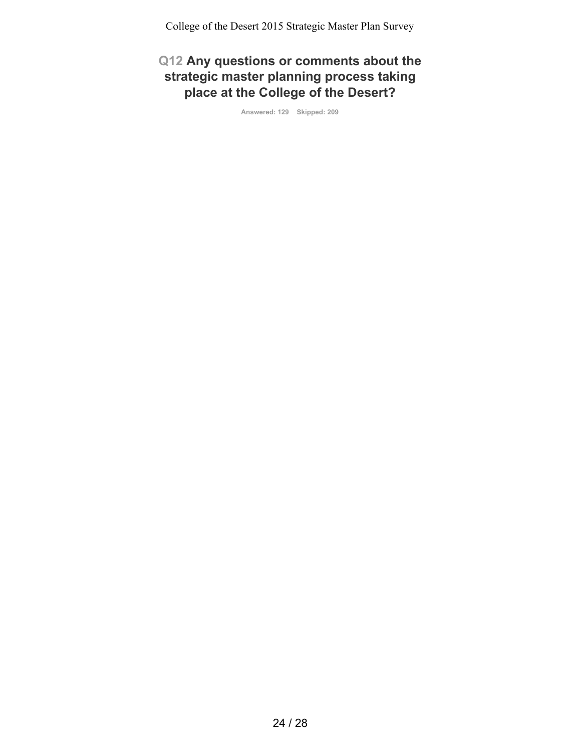# **Q12 Any questions or comments about the strategic master planning process taking place at the College of the Desert?**

**Answered: 129 Skipped: 209**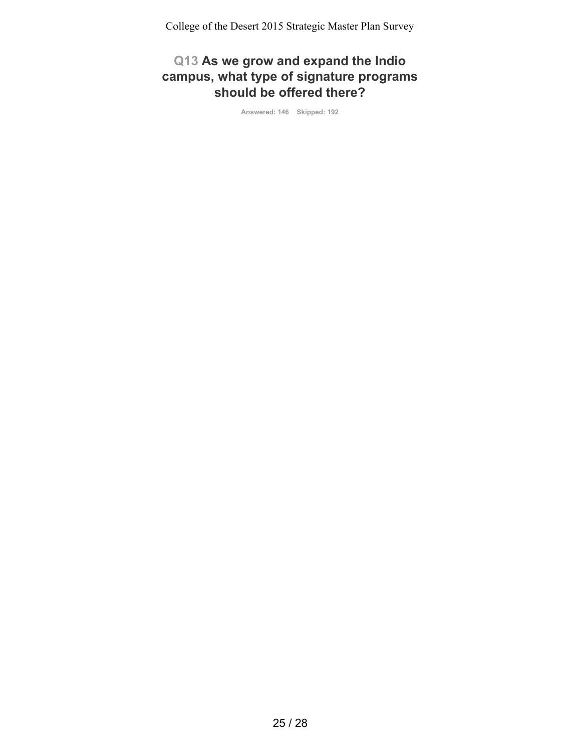## **Q13 As we grow and expand the Indio campus, what type of signature programs should be offered there?**

**Answered: 146 Skipped: 192**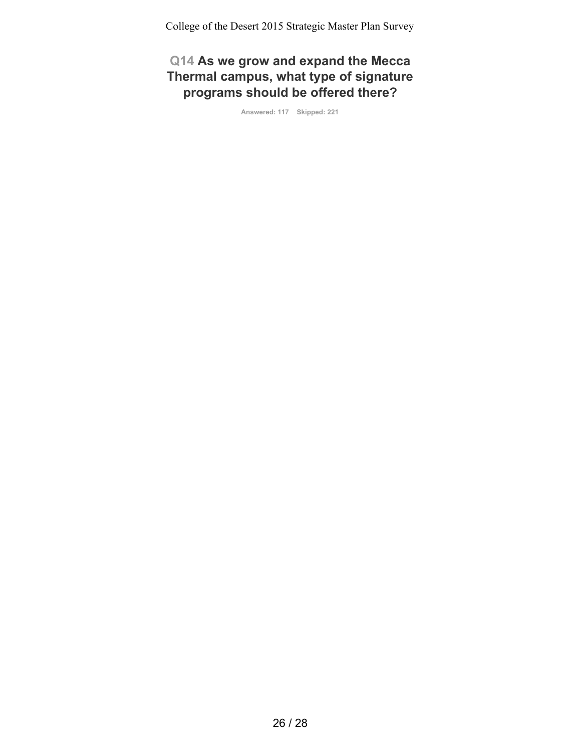**Q14 As we grow and expand the Mecca Thermal campus, what type of signature programs should be offered there?**

**Answered: 117 Skipped: 221**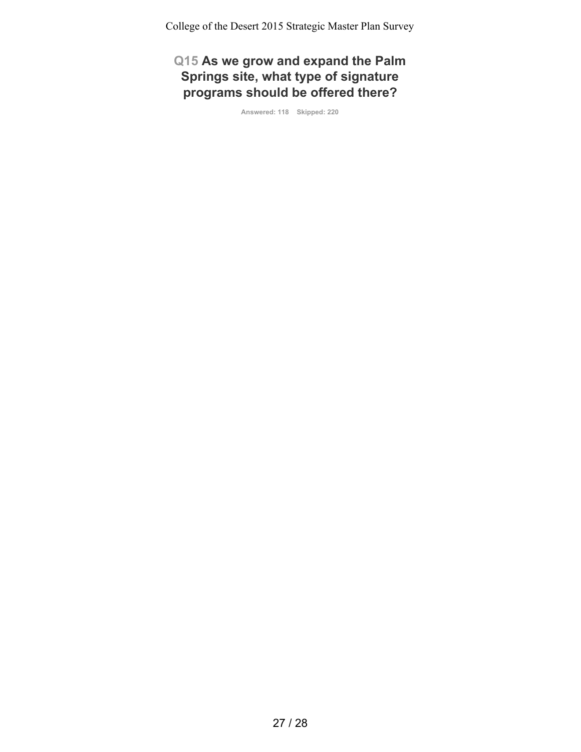**Q15 As we grow and expand the Palm Springs site, what type of signature programs should be offered there?**

**Answered: 118 Skipped: 220**